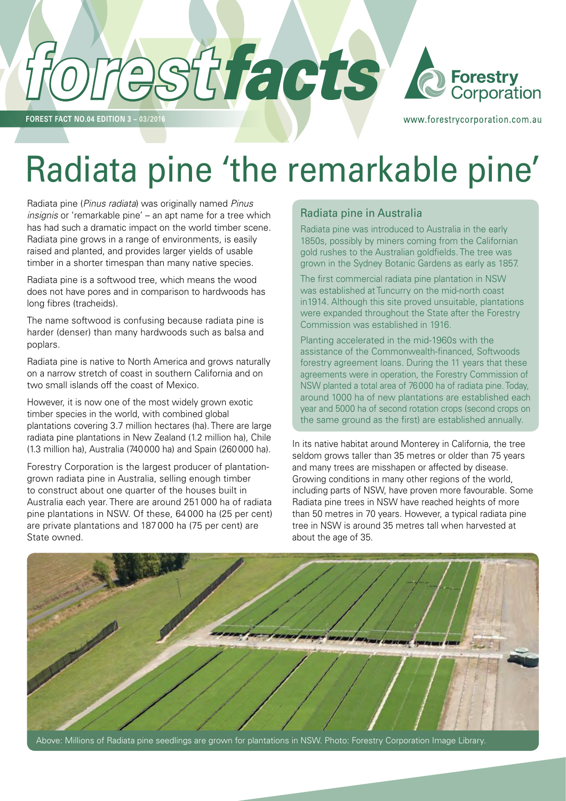

**FOREST FACT NO.04 EDITION 3 – 03/2016**

www.forestrycorporation.com.au

# Radiata pine 'the remarkable pine'

Radiata pine (*Pinus radiata*) was originally named *Pinus insignis* or 'remarkable pine' – an apt name for a tree which has had such a dramatic impact on the world timber scene. Radiata pine grows in a range of environments, is easily raised and planted, and provides larger yields of usable timber in a shorter timespan than many native species.

Radiata pine is a softwood tree, which means the wood does not have pores and in comparison to hardwoods has long fibres (tracheids).

The name softwood is confusing because radiata pine is harder (denser) than many hardwoods such as balsa and poplars.

Radiata pine is native to North America and grows naturally on a narrow stretch of coast in southern California and on two small islands off the coast of Mexico.

However, it is now one of the most widely grown exotic timber species in the world, with combined global plantations covering 3.7 million hectares (ha). There are large radiata pine plantations in New Zealand (1.2 million ha), Chile (1.3 million ha), Australia (740000 ha) and Spain (260000 ha).

Forestry Corporation is the largest producer of plantationgrown radiata pine in Australia, selling enough timber to construct about one quarter of the houses built in Australia each year. There are around 251 000 ha of radiata pine plantations in NSW. Of these, 64 000 ha (25 per cent) are private plantations and 187 000 ha (75 per cent) are State owned.

#### Radiata pine in Australia

Radiata pine was introduced to Australia in the early 1850s, possibly by miners coming from the Californian gold rushes to the Australian goldfields. The tree was grown in the Sydney Botanic Gardens as early as 1857.

The first commercial radiata pine plantation in NSW was established at Tuncurry on the mid-north coast in1914. Although this site proved unsuitable, plantations were expanded throughout the State after the Forestry Commission was established in 1916.

Planting accelerated in the mid-1960s with the assistance of the Commonwealth-financed, Softwoods forestry agreement loans. During the 11 years that these agreements were in operation, the Forestry Commission of NSW planted a total area of 76000 ha of radiata pine. Today, around 1000 ha of new plantations are established each year and 5000 ha of second rotation crops (second crops on the same ground as the first) are established annually.

In its native habitat around Monterey in California, the tree seldom grows taller than 35 metres or older than 75 years and many trees are misshapen or affected by disease. Growing conditions in many other regions of the world, including parts of NSW, have proven more favourable. Some Radiata pine trees in NSW have reached heights of more than 50 metres in 70 years. However, a typical radiata pine tree in NSW is around 35 metres tall when harvested at about the age of 35.



Above: Millions of Radiata pine seedlings are grown for plantations in NSW. Photo: Forestry Corporation Image Library.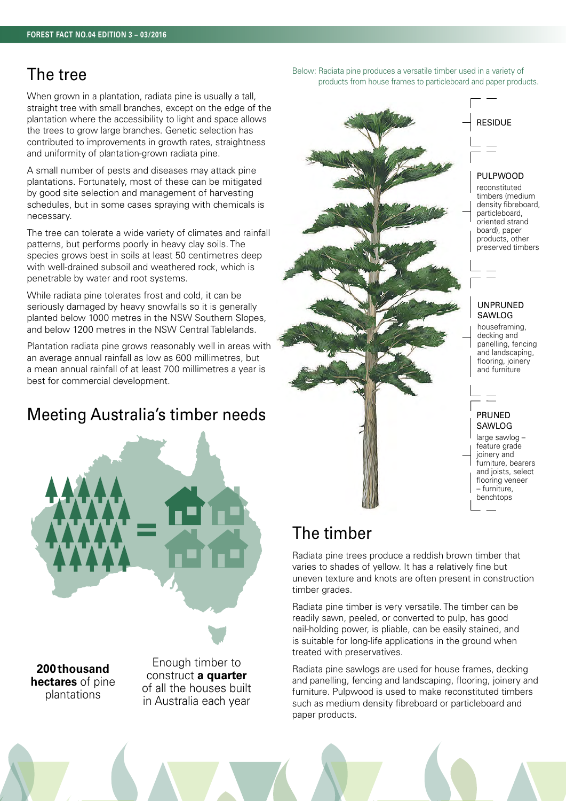#### The tree

When grown in a plantation, radiata pine is usually a tall, straight tree with small branches, except on the edge of the plantation where the accessibility to light and space allows the trees to grow large branches. Genetic selection has contributed to improvements in growth rates, straightness and uniformity of plantation-grown radiata pine.

A small number of pests and diseases may attack pine plantations. Fortunately, most of these can be mitigated by good site selection and management of harvesting schedules, but in some cases spraying with chemicals is necessary.

The tree can tolerate a wide variety of climates and rainfall patterns, but performs poorly in heavy clay soils. The species grows best in soils at least 50 centimetres deep with well-drained subsoil and weathered rock, which is penetrable by water and root systems.

While radiata pine tolerates frost and cold, it can be seriously damaged by heavy snowfalls so it is generally planted below 1000 metres in the NSW Southern Slopes, and below 1200 metres in the NSW Central Tablelands.

Plantation radiata pine grows reasonably well in areas with an average annual rainfall as low as 600 millimetres, but a mean annual rainfall of at least 700 millimetres a year is best for commercial development.

## Meeting Australia's timber needs



**200thousand hectares** of pine plantations

Enough timber to construct **a quarter** of all the houses built in Australia each year

Below: Radiata pine produces a versatile timber used in a variety of products from house frames to particleboard and paper products.



#### The timber

Radiata pine trees produce a reddish brown timber that varies to shades of yellow. It has a relatively fine but uneven texture and knots are often present in construction timber grades.

Radiata pine timber is very versatile. The timber can be readily sawn, peeled, or converted to pulp, has good nail-holding power, is pliable, can be easily stained, and is suitable for long-life applications in the ground when treated with preservatives.

Radiata pine sawlogs are used for house frames, decking and panelling, fencing and landscaping, flooring, joinery and furniture. Pulpwood is used to make reconstituted timbers such as medium density fibreboard or particleboard and paper products.